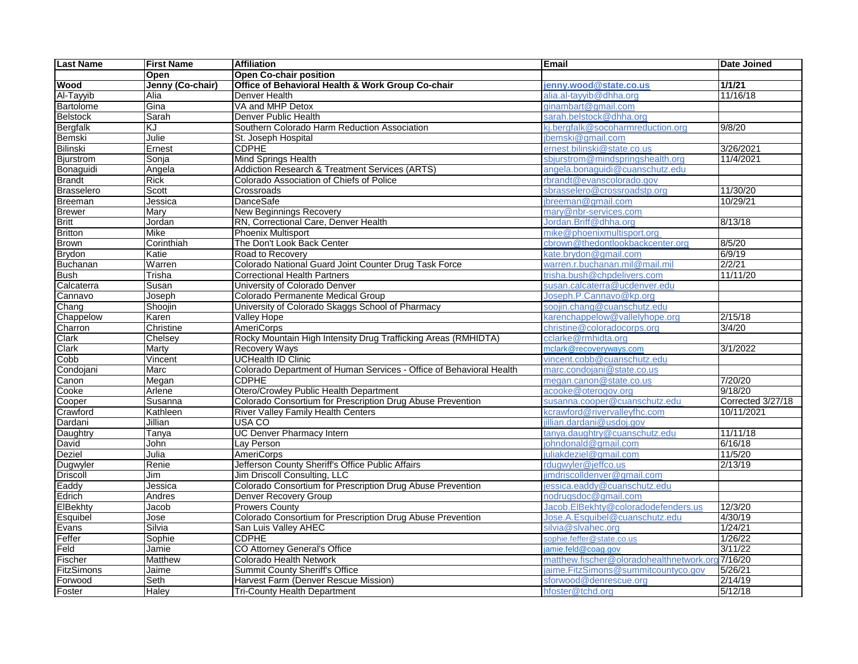| <b>Last Name</b>  | <b>First Name</b> | <b>Affiliation</b>                                                  | <b>Email</b>                                                                           | <b>Date Joined</b> |
|-------------------|-------------------|---------------------------------------------------------------------|----------------------------------------------------------------------------------------|--------------------|
|                   | Open              | <b>Open Co-chair position</b>                                       |                                                                                        |                    |
| Wood              | Jenny (Co-chair)  | Office of Behavioral Health & Work Group Co-chair                   | jenny.wood@state.co.us                                                                 | 1/1/21             |
| Al-Tayyib         | Alia              | Denver Health                                                       | alia.al-tayyib@dhha.org                                                                | 11/16/18           |
| Bartolome         | Gina              | VA and MHP Detox                                                    | ginambart@gmail.com                                                                    |                    |
| <b>Belstock</b>   | Sarah             | Denver Public Health                                                | sarah.belstock@dhha.org                                                                |                    |
| Bergfalk          | KJ                | Southern Colorado Harm Reduction Association                        | kj.bergfalk@socoharmreduction.org                                                      | 9/8/20             |
| Bemski            | Julie             | St. Joseph Hospital                                                 | bemski@gmail.com                                                                       |                    |
| Bilinski          | Ernest            | <b>CDPHE</b>                                                        | ernest.bilinski@state.co.us                                                            | 3/26/2021          |
| <b>Bjurstrom</b>  | Sonja             | Mind Springs Health                                                 | sbjurstrom@mindspringshealth.org                                                       | 11/4/2021          |
| Bonaguidi         | Angela            | Addiction Research & Treatment Services (ARTS)                      | angela.bonaguidi@cuanschutz.edu                                                        |                    |
| <b>Brandt</b>     | <b>Rick</b>       | Colorado Association of Chiefs of Police                            | rbrandt@evanscolorado.gov                                                              |                    |
| Brasselero        | Scott             | Crossroads                                                          | sbrasselero@crossroadstp.org                                                           | 11/30/20           |
| <b>Breeman</b>    | Jessica           | DanceSafe                                                           | ibreeman@gmail.com                                                                     | 10/29/21           |
| <b>Brewer</b>     | Mary              | <b>New Beginnings Recovery</b>                                      | mary@nbr-services.com                                                                  |                    |
| <b>Britt</b>      | Jordan            | RN, Correctional Care, Denver Health                                | Jordan.Briff@dhha.org                                                                  | 8/13/18            |
| <b>Britton</b>    | <b>Mike</b>       | <b>Phoenix Multisport</b>                                           | mike@phoenixmultisport.org                                                             |                    |
| Brown             | Corinthiah        | The Don't Look Back Center                                          | cbrown@thedontlookbackcenter.org                                                       | 8/5/20             |
| <b>Brydon</b>     | Katie             | Road to Recovery                                                    | kate.brydon@gmail.com                                                                  | 6/9/19             |
| <b>Buchanan</b>   | Warren            | Colorado National Guard Joint Counter Drug Task Force               | warren.r.buchanan.mil@mail.mil                                                         | 2/2/21             |
| <b>Bush</b>       | Trisha            | <b>Correctional Health Partners</b>                                 | trisha.bush@chpdelivers.com                                                            | 11/11/20           |
| Calcaterra        | Susan             | University of Colorado Denver                                       | susan.calcaterra@ucdenver.edu                                                          |                    |
| Cannavo           | Joseph            | Colorado Permanente Medical Group                                   | Joseph.P.Cannavo@kp.org                                                                |                    |
| Chang             | Shoojin           | University of Colorado Skaggs School of Pharmacy                    | soojin.chang@cuanschutz.edu                                                            |                    |
| Chappelow         | Karen             | <b>Valley Hope</b>                                                  | karenchappelow@vallelyhope.org                                                         | 2/15/18            |
| Charron           | Christine         | <b>AmeriCorps</b>                                                   | christine@coloradocorps.org                                                            | 3/4/20             |
| Clark             | Chelsey           | Rocky Mountain High Intensity Drug Trafficking Areas (RMHIDTA)      | cclarke@rmhidta.org                                                                    |                    |
| Clark             | <b>Marty</b>      | <b>Recovery Ways</b>                                                | mclark@recoveryways.com                                                                | 3/1/2022           |
| Cobb              | Vincent           | <b>UCHealth ID Clinic</b>                                           | vincent.cobb@cuanschutz.edu                                                            |                    |
| Condojani         | Marc              | Colorado Department of Human Services - Office of Behavioral Health | marc.condojani@state.co.us                                                             |                    |
| Canon             | Megan             | <b>CDPHE</b>                                                        | megan.canon@state.co.us                                                                | 7/20/20            |
| Cooke             | Arlene            | Otero/Crowley Public Health Department                              | acooke@oterogov.org                                                                    | 9/18/20            |
| Cooper            | Susanna           | Colorado Consortium for Prescription Drug Abuse Prevention          | susanna.cooper@cuanschutz.edu                                                          | Corrected 3/27/18  |
| Crawford          | Kathleen          | <b>River Valley Family Health Centers</b>                           | <crawford@rivervalleyfhc.com< td=""><td>10/11/2021</td></crawford@rivervalleyfhc.com<> | 10/11/2021         |
| Dardani           | <b>Jillian</b>    | USA CO                                                              | illian.dardani@usdoi.gov                                                               |                    |
| Daughtry          | Tanya             | <b>UC Denver Pharmacy Intern</b>                                    | :anya.daughtry@cuanschutz.edu                                                          | 11/11/18           |
| David             | John              | Lay Person                                                          | johndonald@gmail.com                                                                   | 6/16/18            |
| Deziel            | Julia             | <b>AmeriCorps</b>                                                   | juliakdeziel@gmail.com                                                                 | 11/5/20            |
| Dugwyler          | Renie             | Jefferson County Sheriff's Office Public Affairs                    | rduawyler@ieffco.us                                                                    | 2/13/19            |
| Driscoll          | Jim               | Jim Driscoll Consulting, LLC                                        | imdriscolldenver@gmail.com                                                             |                    |
| Eaddy             | Jessica           | Colorado Consortium for Prescription Drug Abuse Prevention          | iessica.eaddv@cuanschutz.edu                                                           |                    |
| Edrich            | Andres            | <b>Denver Recovery Group</b>                                        | nodrugsdoc@gmail.com                                                                   |                    |
| ElBekhty          | Jacob             | <b>Prowers Countv</b>                                               | Jacob.EIBekhtv@coloradodefenders.us                                                    | 12/3/20            |
| Esquibel          | Jose              | Colorado Consortium for Prescription Drug Abuse Prevention          | Jose.A.Esquibel@cuanschutz.edu                                                         | 4/30/19            |
| Evans             | Silvia            | San Luis Valley AHEC                                                | silvia@slvahec.org                                                                     | 1/24/21            |
| Feffer            | Sophie            | <b>CDPHE</b>                                                        | sophie.feffer@state.co.us                                                              | 1/26/22            |
| Feld              | Jamie             | CO Attorney General's Office                                        | jamie.feld@coag.gov                                                                    | 3/11/22            |
| <b>Fischer</b>    | Matthew           | <b>Colorado Health Network</b>                                      | matthew.fischer@oloradohealthnetwork.org7/16/20                                        |                    |
| <b>FitzSimons</b> | Jaime             | <b>Summit County Sheriff's Office</b>                               | aime.FitzSimons@summitcountyco.gov                                                     | 5/26/21            |
| Forwood           | Seth              | Harvest Farm (Denver Rescue Mission)                                | sforwood@denrescue.org                                                                 | 2/14/19            |
| Foster            | Haley             | <b>Tri-County Health Department</b>                                 | hfoster@tchd.org                                                                       | 5/12/18            |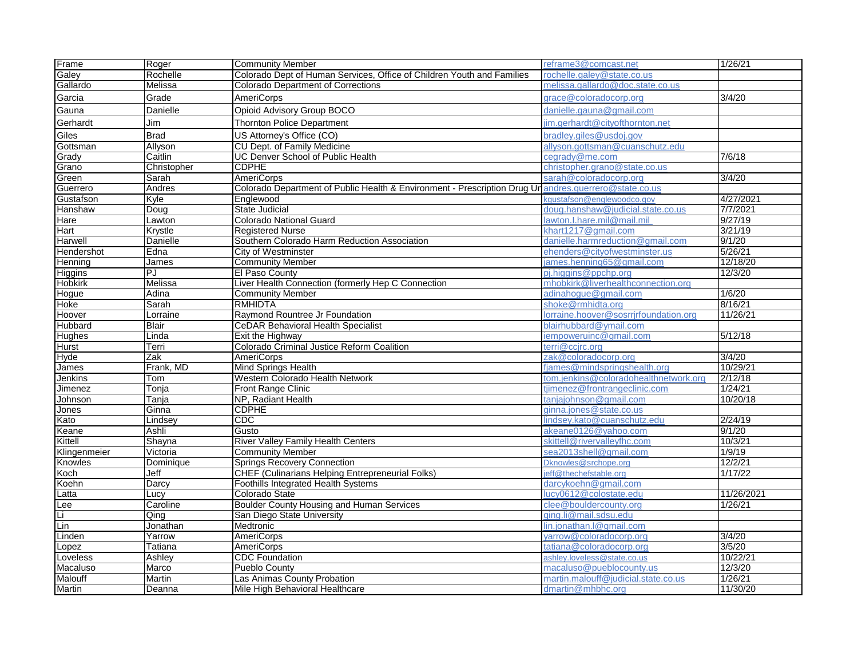| Frame          | Roger        | <b>Community Member</b>                                                                              | reframe3@comcast.net                  | 1/26/21    |
|----------------|--------------|------------------------------------------------------------------------------------------------------|---------------------------------------|------------|
| Galey          | Rochelle     | Colorado Dept of Human Services, Office of Children Youth and Families                               | rochelle.galey@state.co.us            |            |
| Gallardo       | Melissa      | <b>Colorado Department of Corrections</b>                                                            | melissa.gallardo@doc.state.co.us      |            |
| Garcia         | Grade        | <b>AmeriCorps</b>                                                                                    | grace@coloradocorp.org                | 3/4/20     |
| Gauna          | Danielle     | Opioid Advisory Group BOCO                                                                           | danielle.gauna@gmail.com              |            |
| Gerhardt       | Jim          | <b>Thornton Police Department</b>                                                                    | im.gerhardt@cityofthornton.net        |            |
| Giles          | <b>Brad</b>  | US Attorney's Office (CO)                                                                            | bradley.giles@usdoj.gov               |            |
| Gottsman       | Allyson      | CU Dept. of Family Medicine                                                                          | allyson.gottsman@cuanschutz.edu       |            |
| Grady          | Caitlin      | <b>UC Denver School of Public Health</b>                                                             | cegrady@me.com                        | 7/6/18     |
| Grano          | Christopher  | <b>CDPHE</b>                                                                                         | christopher.grano@state.co.us         |            |
| Green          | Sarah        | <b>AmeriCorps</b>                                                                                    | sarah@coloradocorp.org                | 3/4/20     |
| Guerrero       | Andres       | Colorado Department of Public Health & Environment - Prescription Drug Unandres.guerrero@state.co.us |                                       |            |
| Gustafson      | Kyle         | Englewood                                                                                            | kgustafson@englewoodco.gov            | 4/27/2021  |
| Hanshaw        | Doug         | <b>State Judicial</b>                                                                                | doug.hanshaw@iudicial.state.co.us     | 7/7/2021   |
| Hare           | Lawton       | <b>Colorado National Guard</b>                                                                       | lawton.l.hare.mil@mail.mil            | 9/27/19    |
| Hart           | Krystle      | <b>Registered Nurse</b>                                                                              | khart1217@gmail.com                   | 3/21/19    |
| Harwell        | Danielle     | Southern Colorado Harm Reduction Association                                                         | danielle.harmreduction@gmail.com      | 9/1/20     |
| Hendershot     | Edna         | City of Westminster                                                                                  | ehenders@cityofwestminster.us         | 5/26/21    |
| Henning        | James        | <b>Community Member</b>                                                                              | ames.henning65@gmail.com              | 12/18/20   |
| <b>Higgins</b> | PJ           | El Paso County                                                                                       | pi.higgins@ppchp.org                  | 12/3/20    |
| <b>Hobkirk</b> | Melissa      | Liver Health Connection (formerly Hep C Connection                                                   | mhobkirk@liverhealthconnection.org    |            |
| Hogue          | Adina        | <b>Community Member</b>                                                                              | adinahoque@gmail.com                  | 1/6/20     |
| Hoke           | Sarah        | <b>RMHIDTA</b>                                                                                       | shoke@rmhidta.org                     | 8/16/21    |
| Hoover         | Lorraine     | Raymond Rountree Jr Foundation                                                                       | lorraine.hoover@sosrrirfoundation.org | 11/26/21   |
| Hubbard        | <b>Blair</b> | <b>CeDAR Behavioral Health Specialist</b>                                                            | blairhubbard@vmail.com                |            |
| <b>Hughes</b>  | Linda        | Exit the Highway                                                                                     | iempoweruinc@gmail.com                | 5/12/18    |
| Hurst          | Terri        | Colorado Criminal Justice Reform Coalition                                                           | terri@ccirc.org                       |            |
| Hyde           | Zak          | AmeriCorps                                                                                           | zak@coloradocorp.org                  | 3/4/20     |
| James          | Frank, MD    | Mind Springs Health                                                                                  | fjames@mindspringshealth.org          | 10/29/21   |
| Jenkins        | Tom          | Western Colorado Health Network                                                                      | tom.jenkins@coloradohealthnetwork.org | 2/12/18    |
| Jimenez        | Tonja        | Front Range Clinic                                                                                   | tjimenez@frontrangeclinic.com         | 1/24/21    |
| Johnson        | Tanja        | NP, Radiant Health                                                                                   | tanjajohnson@gmail.com                | 10/20/18   |
| Jones          | Ginna        | <b>CDPHE</b>                                                                                         | ginna.jones@state.co.us               |            |
| Kato           | Lindsey      | CDC                                                                                                  | lindsey.kato@cuanschutz.edu           | 2/24/19    |
| Keane          | Ashli        | Gusto                                                                                                | akeane0126@yahoo.com                  | 9/1/20     |
| Kittell        | Shayna       | River Valley Family Health Centers                                                                   | skittell@rivervalleyfhc.com           | 10/3/21    |
| Klingenmeier   | Victoria     | <b>Community Member</b>                                                                              | sea2013shell@gmail.com                | 1/9/19     |
| Knowles        | Dominique    | <b>Springs Recovery Connection</b>                                                                   | Dknowles@srchope.org                  | 12/2/21    |
| Koch           | Jeff         | <b>CHEF (Culinarians Helping Entrepreneurial Folks)</b>                                              | jeff@thechefstable.org                | 1/17/22    |
| Koehn          | Darcy        | <b>Foothills Integrated Health Systems</b>                                                           | darcykoehn@gmail.com                  |            |
| _atta          | Lucy         | Colorado State                                                                                       | ucy0612@colostate.edu                 | 11/26/2021 |
| Lee            | Caroline     | <b>Boulder County Housing and Human Services</b>                                                     | clee@bouldercounty.org                | 1/26/21    |
| Γī             | Qing         | San Diego State University                                                                           | ging.li@mail.sdsu.edu                 |            |
| Lin            | Jonathan     | Medtronic                                                                                            | lin.jonathan.l@gmail.com              |            |
| Linden         | Yarrow       | <b>AmeriCorps</b>                                                                                    | yarrow@coloradocorp.org               | 3/4/20     |
| Lopez          | Tatiana      | <b>AmeriCorps</b>                                                                                    | tatiana@coloradocorp.org              | 3/5/20     |
| _oveless       | Ashley       | <b>CDC</b> Foundation                                                                                | ashley.loveless@state.co.us           | 10/22/21   |
| Macaluso       | Marco        | Pueblo County                                                                                        | macaluso@pueblocounty.us              | 12/3/20    |
| Malouff        | Martin       | Las Animas County Probation                                                                          | martin.malouff@judicial.state.co.us   | 1/26/21    |
| Martin         | Deanna       | Mile High Behavioral Healthcare                                                                      | dmartin@mhbhc.org                     | 11/30/20   |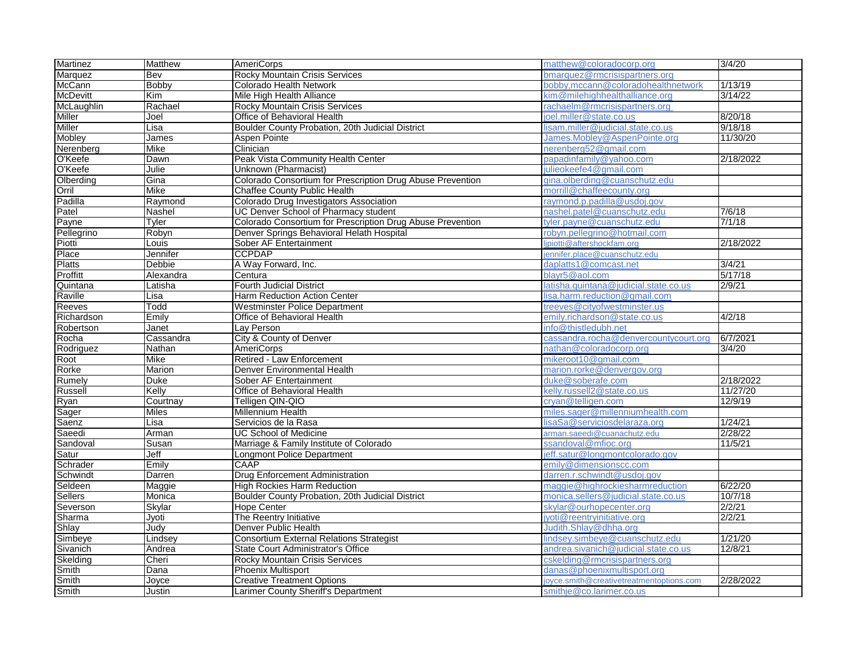| Martinez            | Matthew      | <b>AmeriCorps</b>                                                      | matthew@coloradocorp.org                 | 3/4/20    |
|---------------------|--------------|------------------------------------------------------------------------|------------------------------------------|-----------|
| Marquez             | Bev          | <b>Rocky Mountain Crisis Services</b>                                  | bmarquez@rmcrisispartners.org            |           |
| McCann              | Bobby        | Colorado Health Network                                                | bobby, mccann@coloradohealthnetwork      | 1/13/19   |
| <b>McDevitt</b>     | <b>Kim</b>   | Mile High Health Alliance                                              | kim@milehighhealthalliance.org           | 3/14/22   |
| McLaughlin          | Rachael      | Rocky Mountain Crisis Services                                         | rachaelm@rmcrisispartners.org            |           |
| Miller              | Joel         | Office of Behavioral Health                                            | ioel.miller@state.co.us                  | 8/20/18   |
| Miller              | Lisa         | Boulder County Probation, 20th Judicial District                       | lisam.miller@judicial.state.co.us        | 9/18/18   |
| Mobley              | James        | Aspen Pointe                                                           | James.Moblev@AspenPointe.org             | 11/30/20  |
| Nerenberg           | Mike         | Clinician                                                              | nerenberg52@gmail.com                    |           |
| O'Keefe             | Dawn         | Peak Vista Community Health Center                                     | papadinfamily@yahoo.com                  | 2/18/2022 |
| O'Keefe             | Julie        | Unknown (Pharmacist)                                                   | julieokeefe4@gmail.com                   |           |
| Olberding           | Gina         | Colorado Consortium for Prescription Drug Abuse Prevention             | gina.olberding@cuanschutz.edu            |           |
| Orril               | Mike         | <b>Chaffee County Public Health</b>                                    | morrill@chaffeecounty.org                |           |
| Padilla             | Raymond      | Colorado Drug Investigators Association                                | raymond.p.padilla@usdoi.gov              |           |
| Patel               | Nashel       | UC Denver School of Pharmacy student                                   | nashel.patel@cuanschutz.edu              | 7/6/18    |
| Payne               | Tyler        | Colorado Consortium for Prescription Drug Abuse Prevention             | tyler.payne@cuanschutz.edu               | 7/1/18    |
| Pellegrino          | Robyn        | Denver Springs Behavioral Helath Hospital                              | robyn.pellegrino@hotmail.com             |           |
| Piotti              | Louis        | Sober AF Entertainment                                                 | lipiotti@aftershockfam.org               | 2/18/2022 |
| Place               | Jennifer     | <b>CCPDAP</b>                                                          | iennifer.place@cuanschutz.edu            |           |
| <b>Platts</b>       | Debbie       | A Way Forward, Inc.                                                    | daplatts1@comcast.net                    | 3/4/21    |
| Proffitt            | Alexandra    | Centura                                                                | blavr5@aol.com                           | 5/17/18   |
| Quintana            | Latisha      | <b>Fourth Judicial District</b>                                        | latisha.quintana@judicial.state.co.us    | 2/9/21    |
| Raville             | Lisa         | Harm Reduction Action Center                                           | isa.harm.reduction@gmail.com             |           |
| Reeves              | Todd         | <b>Westminster Police Department</b>                                   | treeves@cityofwestminster.us             |           |
| Richardson          | Emily        | Office of Behavioral Health                                            | emily.richardson@state.co.us             | 4/2/18    |
| Robertson           | Janet        | Lay Person                                                             | info@thistledubh.net                     |           |
| Rocha               | Cassandra    | City & County of Denver                                                | cassandra.rocha@denvercountvcourt.org    | 6/7/2021  |
| Rodriguez           | Nathan       | <b>AmeriCorps</b>                                                      | nathan@coloradocorp.org                  | 3/4/20    |
| Root                | Mike         | Retired - Law Enforcement                                              | mikeroot10@gmail.com                     |           |
| Rorke               | Marion       | Denver Environmental Health                                            | marion.rorke@denvergov.org               |           |
| Rumely              | <b>Duke</b>  | Sober AF Entertainment                                                 | duke@soberafe.com                        | 2/18/2022 |
| Russell             | Kelly        | Office of Behavioral Health                                            | kelly.russell2@state.co.us               | 11/27/20  |
| Ryan                | Courtnay     | Telligen QIN-QIO                                                       | crvan@telligen.com                       | 12/9/19   |
| Sager               | <b>Miles</b> | Millennium Health                                                      | miles.sager@millenniumhealth.com         |           |
| Saenz               | Lisa         | Servicios de la Rasa                                                   | lisaSa@serviciosdelaraza.org             | 1/24/21   |
| Saeedi              | Arman        | <b>UC School of Medicine</b>                                           | arman.saeedi@cuanachutz.edu              | 2/28/22   |
| Sandoval            | Susan        | Marriage & Family Institute of Colorado                                | ssandoval@mfioc.org                      | 11/5/21   |
|                     | Jeff         |                                                                        | ieff.satur@longmontcolorado.gov          |           |
| Satur<br>Schrader   | Emily        | Longmont Police Department<br>CAAP                                     | emily@dimensionscc.com                   |           |
|                     | Darren       | <b>Drug Enforcement Administration</b>                                 | darren.r.schwindt@usdoj.gov              |           |
| Schwindt<br>Seldeen | Maggie       | <b>High Rockies Harm Reduction</b>                                     | maggie@highrockiesharmreduction          | 6/22/20   |
|                     |              |                                                                        |                                          | 10/7/18   |
| <b>Sellers</b>      | Monica       | Boulder County Probation, 20th Judicial District<br><b>Hope Center</b> | monica.sellers@judicial.state.co.us      | 2/2/21    |
| Severson            | Skylar       |                                                                        | skylar@ourhopecenter.org                 |           |
| Sharma              | Jyoti        | The Reentry Initiative                                                 | iyoti@reentryinitiative.org              | 2/2/21    |
| Shlay               | Judy         | Denver Public Health                                                   | Judith.Shlav@dhha.org                    |           |
| Simbeye             | Lindsev      | <b>Consortium External Relations Strategist</b>                        | lindsey.simbeye@cuanschutz.edu           | 1/21/20   |
| Sivanich            | Andrea       | <b>State Court Administrator's Office</b>                              | andrea.sivanich@judicial.state.co.us     | 12/8/21   |
| Skelding            | Cheri        | Rocky Mountain Crisis Services                                         | cskelding@rmcrisispartners.org           |           |
| Smith               | Dana         | <b>Phoenix Multisport</b>                                              | danas@phoenixmultisport.org              |           |
| Smith               | Joyce        | <b>Creative Treatment Options</b>                                      | joyce.smith@creativetreatmentoptions.com | 2/28/2022 |
| Smith               | Justin       | Larimer County Sheriff's Department                                    | smithje@co.larimer.co.us                 |           |